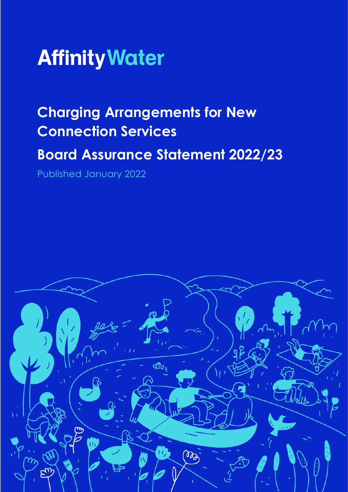

# **Charging Arrangements for New Connection Services**

## **Board Assurance Statement 2022/23**

Published January 2022

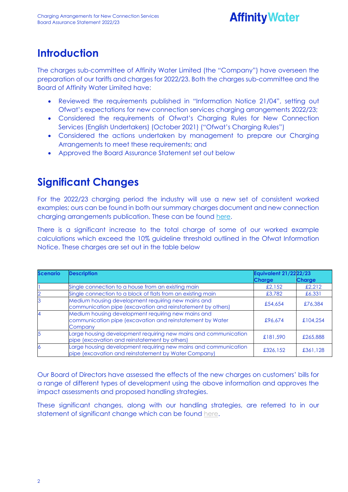## **Affinity Water**

#### **Introduction**

The charges sub-committee of Affinity Water Limited (the "Company") have overseen the preparation of our tariffs and charges for 2022/23. Both the charges sub-committee and the Board of Affinity Water Limited have:

- Reviewed the requirements published in "Information Notice 21/04", setting out Ofwat's expectations for new connection services charging arrangements 2022/23;
- Considered the requirements of Ofwat's Charging Rules for New Connection Services (English Undertakers) (October 2021) ("Ofwat's Charging Rules")
- Considered the actions undertaken by management to prepare our Charging Arrangements to meet these requirements; and
- Approved the Board Assurance Statement set out below

### **Significant Changes**

For the 2022/23 charging period the industry will use a new set of consistent worked examples; ours can be found in both our summary charges document and new connection charging arrangements publication. These can be found [here.](https://www.affinitywater.co.uk/developing/our-charges)

There is a significant increase to the total charge of some of our worked example calculations which exceed the 10% guideline threshold outlined in the Ofwat Information Notice. These charges are set out in the table below

| <b>Scenario</b> | <b>Description</b>                                                                                                         | <b>Equivalent 21/2222/23</b> |               |
|-----------------|----------------------------------------------------------------------------------------------------------------------------|------------------------------|---------------|
|                 |                                                                                                                            | <b>Charge</b>                | <b>Charge</b> |
|                 | Single connection to a house from an existing main                                                                         | £2,152                       | £2,212        |
|                 | Single connection to a block of flats from an existing main                                                                | £3,782                       | £6,331        |
|                 | Medium housing development requiring new mains and<br>communication pipe (excavation and reinstatement by others)          | £54,654                      | £76,384       |
|                 | Medium housing development requiring new mains and<br>communication pipe (excavation and reinstatement by Water<br>Company | £96.674                      | £104,254      |
|                 | Large housing development requiring new mains and communication<br>pipe (excavation and reinstatement by others)           | £181,590                     | £265,888      |
| 6               | Large housing development requiring new mains and communication<br>pipe (excavation and reinstatement by Water Company)    | £326,152                     | £361,128      |

Our Board of Directors have assessed the effects of the new charges on customers' bills for a range of different types of development using the above information and approves the impact assessments and proposed handling strategies.

These significant changes, along with our handling strategies, are referred to in our statement of significant change which can be found [here.](https://www.affinitywater.co.uk/developing/our-charges)